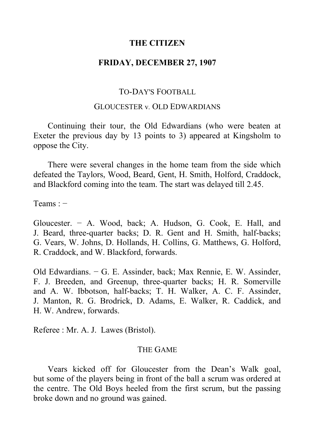## **THE CITIZEN**

## **FRIDAY, DECEMBER 27, 1907**

# TO-DAY'S FOOTBALL

## GLOUCESTER v*.* OLD EDWARDIANS

Continuing their tour, the Old Edwardians (who were beaten at Exeter the previous day by 13 points to 3) appeared at Kingsholm to oppose the City.

There were several changes in the home team from the side which defeated the Taylors, Wood, Beard, Gent, H. Smith, Holford, Craddock, and Blackford coming into the team. The start was delayed till 2.45.

Teams : −

Gloucester. − A. Wood, back; A. Hudson, G. Cook, E. Hall, and J. Beard, three-quarter backs; D. R. Gent and H. Smith, half-backs; G. Vears, W. Johns, D. Hollands, H. Collins, G. Matthews, G. Holford, R. Craddock, and W. Blackford, forwards.

Old Edwardians. − G. E. Assinder, back; Max Rennie, E. W. Assinder, F. J. Breeden, and Greenup, three-quarter backs; H. R. Somerville and A. W. Ibbotson, half-backs; T. H. Walker, A. C. F. Assinder, J. Manton, R. G. Brodrick, D. Adams, E. Walker, R. Caddick, and H. W. Andrew, forwards.

Referee : Mr. A. J. Lawes (Bristol).

#### THE GAME

Vears kicked off for Gloucester from the Dean's Walk goal, but some of the players being in front of the ball a scrum was ordered at the centre. The Old Boys heeled from the first scrum, but the passing broke down and no ground was gained.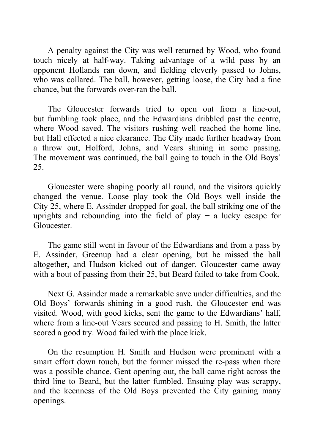A penalty against the City was well returned by Wood, who found touch nicely at half-way. Taking advantage of a wild pass by an opponent Hollands ran down, and fielding cleverly passed to Johns, who was collared. The ball, however, getting loose, the City had a fine chance, but the forwards over-ran the ball.

The Gloucester forwards tried to open out from a line-out, but fumbling took place, and the Edwardians dribbled past the centre, where Wood saved. The visitors rushing well reached the home line, but Hall effected a nice clearance. The City made further headway from a throw out, Holford, Johns, and Vears shining in some passing. The movement was continued, the ball going to touch in the Old Boys' 25.

Gloucester were shaping poorly all round, and the visitors quickly changed the venue. Loose play took the Old Boys well inside the City 25, where E. Assinder dropped for goal, the ball striking one of the uprights and rebounding into the field of play − a lucky escape for Gloucester.

The game still went in favour of the Edwardians and from a pass by E. Assinder, Greenup had a clear opening, but he missed the ball altogether, and Hudson kicked out of danger. Gloucester came away with a bout of passing from their 25, but Beard failed to take from Cook.

Next G. Assinder made a remarkable save under difficulties, and the Old Boys' forwards shining in a good rush, the Gloucester end was visited. Wood, with good kicks, sent the game to the Edwardians' half, where from a line-out Vears secured and passing to H. Smith, the latter scored a good try. Wood failed with the place kick.

On the resumption H. Smith and Hudson were prominent with a smart effort down touch, but the former missed the re-pass when there was a possible chance. Gent opening out, the ball came right across the third line to Beard, but the latter fumbled. Ensuing play was scrappy, and the keenness of the Old Boys prevented the City gaining many openings.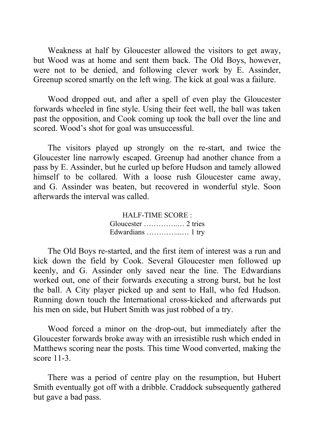Weakness at half by Gloucester allowed the visitors to get away, but Wood was at home and sent them back. The Old Boys, however, were not to be denied, and following clever work by E. Assinder, Greenup scored smartly on the left wing. The kick at goal was a failure.

Wood dropped out, and after a spell of even play the Gloucester forwards wheeled in fine style. Using their feet well, the ball was taken past the opposition, and Cook coming up took the ball over the line and scored. Wood's shot for goal was unsuccessful.

The visitors played up strongly on the re-start, and twice the Gloucester line narrowly escaped. Greenup had another chance from a pass by E. Assinder, but he curled up before Hudson and tamely allowed himself to be collared. With a loose rush Gloucester came away, and G. Assinder was beaten, but recovered in wonderful style. Soon afterwards the interval was called.

> HALF-TIME SCORE : Gloucester …………..… 2 tries Edwardians …………...… 1 try

The Old Boys re-started, and the first item of interest was a run and kick down the field by Cook. Several Gloucester men followed up keenly, and G. Assinder only saved near the line. The Edwardians worked out, one of their forwards executing a strong burst, but he lost the ball. A City player picked up and sent to Hall, who fed Hudson. Running down touch the International cross-kicked and afterwards put his men on side, but Hubert Smith was just robbed of a try.

Wood forced a minor on the drop-out, but immediately after the Gloucester forwards broke away with an irresistible rush which ended in Matthews scoring near the posts. This time Wood converted, making the score 11-3.

There was a period of centre play on the resumption, but Hubert Smith eventually got off with a dribble. Craddock subsequently gathered but gave a bad pass.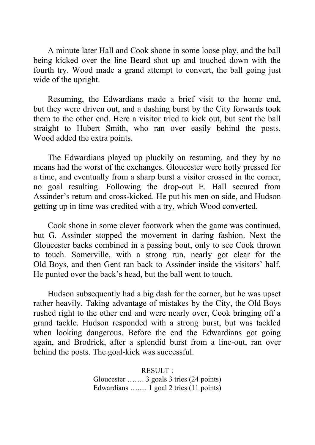A minute later Hall and Cook shone in some loose play, and the ball being kicked over the line Beard shot up and touched down with the fourth try. Wood made a grand attempt to convert, the ball going just wide of the upright.

Resuming, the Edwardians made a brief visit to the home end, but they were driven out, and a dashing burst by the City forwards took them to the other end. Here a visitor tried to kick out, but sent the ball straight to Hubert Smith, who ran over easily behind the posts. Wood added the extra points.

The Edwardians played up pluckily on resuming, and they by no means had the worst of the exchanges. Gloucester were hotly pressed for a time, and eventually from a sharp burst a visitor crossed in the corner, no goal resulting. Following the drop-out E. Hall secured from Assinder's return and cross-kicked. He put his men on side, and Hudson getting up in time was credited with a try, which Wood converted.

Cook shone in some clever footwork when the game was continued, but G. Assinder stopped the movement in daring fashion. Next the Gloucester backs combined in a passing bout, only to see Cook thrown to touch. Somerville, with a strong run, nearly got clear for the Old Boys, and then Gent ran back to Assinder inside the visitors' half. He punted over the back's head, but the ball went to touch.

Hudson subsequently had a big dash for the corner, but he was upset rather heavily. Taking advantage of mistakes by the City, the Old Boys rushed right to the other end and were nearly over, Cook bringing off a grand tackle. Hudson responded with a strong burst, but was tackled when looking dangerous. Before the end the Edwardians got going again, and Brodrick, after a splendid burst from a line-out, ran over behind the posts. The goal-kick was successful.

> RESULT : Gloucester ……. 3 goals 3 tries (24 points) Edwardians …..... 1 goal 2 tries (11 points)